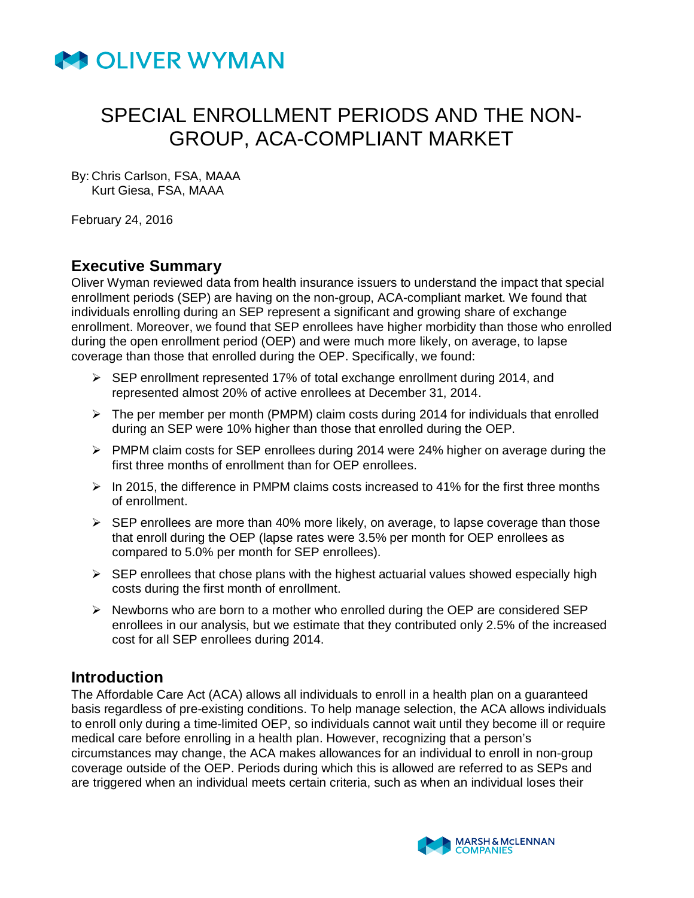

By: Chris Carlson, FSA, MAAA Kurt Giesa, FSA, MAAA

February 24, 2016

## **Executive Summary**

Oliver Wyman reviewed data from health insurance issuers to understand the impact that special enrollment periods (SEP) are having on the non-group, ACA-compliant market. We found that individuals enrolling during an SEP represent a significant and growing share of exchange enrollment. Moreover, we found that SEP enrollees have higher morbidity than those who enrolled during the open enrollment period (OEP) and were much more likely, on average, to lapse coverage than those that enrolled during the OEP. Specifically, we found:

- $\triangleright$  SEP enrollment represented 17% of total exchange enrollment during 2014, and represented almost 20% of active enrollees at December 31, 2014.
- $\triangleright$  The per member per month (PMPM) claim costs during 2014 for individuals that enrolled during an SEP were 10% higher than those that enrolled during the OEP.
- $\triangleright$  PMPM claim costs for SEP enrollees during 2014 were 24% higher on average during the first three months of enrollment than for OEP enrollees.
- $\triangleright$  In 2015, the difference in PMPM claims costs increased to 41% for the first three months of enrollment.
- $\triangleright$  SEP enrollees are more than 40% more likely, on average, to lapse coverage than those that enroll during the OEP (lapse rates were 3.5% per month for OEP enrollees as compared to 5.0% per month for SEP enrollees).
- $\triangleright$  SEP enrollees that chose plans with the highest actuarial values showed especially high costs during the first month of enrollment.
- $\triangleright$  Newborns who are born to a mother who enrolled during the OEP are considered SEP enrollees in our analysis, but we estimate that they contributed only 2.5% of the increased cost for all SEP enrollees during 2014.

### **Introduction**

The Affordable Care Act (ACA) allows all individuals to enroll in a health plan on a guaranteed basis regardless of pre-existing conditions. To help manage selection, the ACA allows individuals to enroll only during a time-limited OEP, so individuals cannot wait until they become ill or require medical care before enrolling in a health plan. However, recognizing that a person's circumstances may change, the ACA makes allowances for an individual to enroll in non-group coverage outside of the OEP. Periods during which this is allowed are referred to as SEPs and are triggered when an individual meets certain criteria, such as when an individual loses their

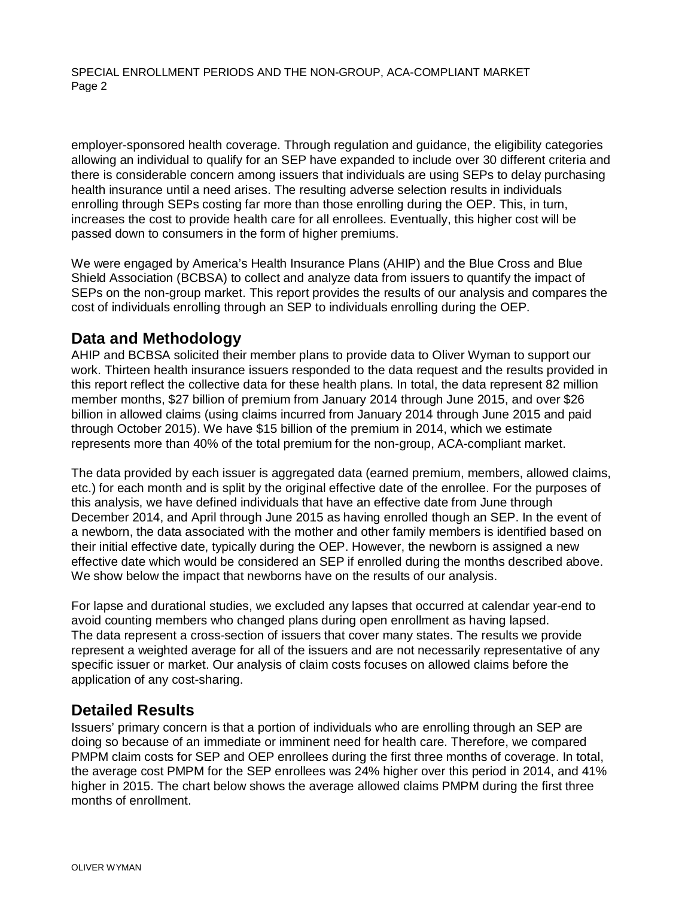employer-sponsored health coverage. Through regulation and guidance, the eligibility categories allowing an individual to qualify for an SEP have expanded to include over 30 different criteria and there is considerable concern among issuers that individuals are using SEPs to delay purchasing health insurance until a need arises. The resulting adverse selection results in individuals enrolling through SEPs costing far more than those enrolling during the OEP. This, in turn, increases the cost to provide health care for all enrollees. Eventually, this higher cost will be passed down to consumers in the form of higher premiums.

We were engaged by America's Health Insurance Plans (AHIP) and the Blue Cross and Blue Shield Association (BCBSA) to collect and analyze data from issuers to quantify the impact of SEPs on the non-group market. This report provides the results of our analysis and compares the cost of individuals enrolling through an SEP to individuals enrolling during the OEP.

#### **Data and Methodology**

AHIP and BCBSA solicited their member plans to provide data to Oliver Wyman to support our work. Thirteen health insurance issuers responded to the data request and the results provided in this report reflect the collective data for these health plans. In total, the data represent 82 million member months, \$27 billion of premium from January 2014 through June 2015, and over \$26 billion in allowed claims (using claims incurred from January 2014 through June 2015 and paid through October 2015). We have \$15 billion of the premium in 2014, which we estimate represents more than 40% of the total premium for the non-group, ACA-compliant market.

The data provided by each issuer is aggregated data (earned premium, members, allowed claims, etc.) for each month and is split by the original effective date of the enrollee. For the purposes of this analysis, we have defined individuals that have an effective date from June through December 2014, and April through June 2015 as having enrolled though an SEP. In the event of a newborn, the data associated with the mother and other family members is identified based on their initial effective date, typically during the OEP. However, the newborn is assigned a new effective date which would be considered an SEP if enrolled during the months described above. We show below the impact that newborns have on the results of our analysis.

For lapse and durational studies, we excluded any lapses that occurred at calendar year-end to avoid counting members who changed plans during open enrollment as having lapsed. The data represent a cross-section of issuers that cover many states. The results we provide represent a weighted average for all of the issuers and are not necessarily representative of any specific issuer or market. Our analysis of claim costs focuses on allowed claims before the application of any cost-sharing.

## **Detailed Results**

Issuers' primary concern is that a portion of individuals who are enrolling through an SEP are doing so because of an immediate or imminent need for health care. Therefore, we compared PMPM claim costs for SEP and OEP enrollees during the first three months of coverage. In total, the average cost PMPM for the SEP enrollees was 24% higher over this period in 2014, and 41% higher in 2015. The chart below shows the average allowed claims PMPM during the first three months of enrollment.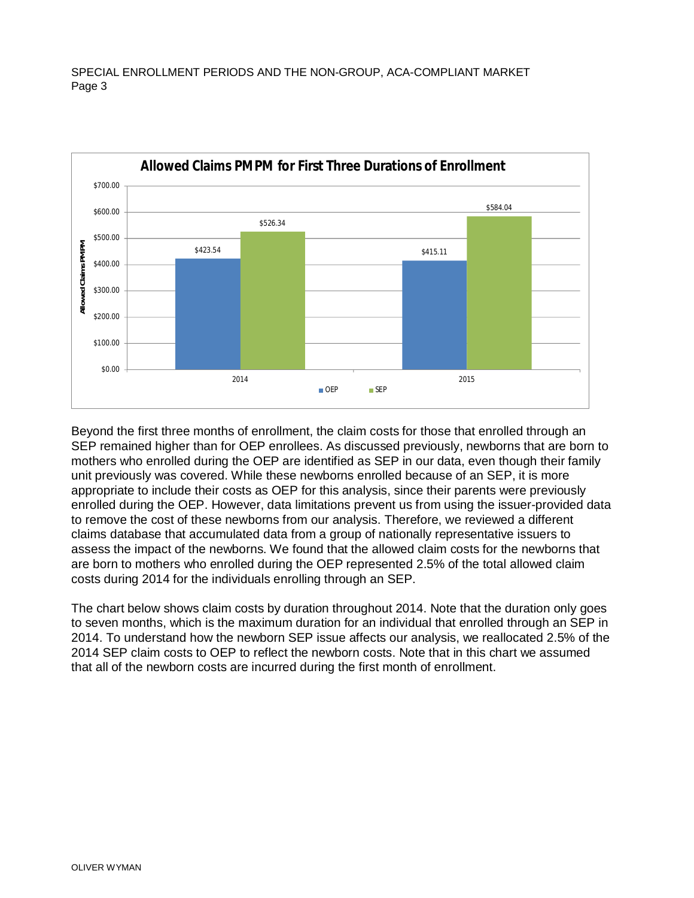

Beyond the first three months of enrollment, the claim costs for those that enrolled through an SEP remained higher than for OEP enrollees. As discussed previously, newborns that are born to mothers who enrolled during the OEP are identified as SEP in our data, even though their family unit previously was covered. While these newborns enrolled because of an SEP, it is more appropriate to include their costs as OEP for this analysis, since their parents were previously enrolled during the OEP. However, data limitations prevent us from using the issuer-provided data to remove the cost of these newborns from our analysis. Therefore, we reviewed a different claims database that accumulated data from a group of nationally representative issuers to assess the impact of the newborns. We found that the allowed claim costs for the newborns that are born to mothers who enrolled during the OEP represented 2.5% of the total allowed claim costs during 2014 for the individuals enrolling through an SEP.

The chart below shows claim costs by duration throughout 2014. Note that the duration only goes to seven months, which is the maximum duration for an individual that enrolled through an SEP in 2014. To understand how the newborn SEP issue affects our analysis, we reallocated 2.5% of the 2014 SEP claim costs to OEP to reflect the newborn costs. Note that in this chart we assumed that all of the newborn costs are incurred during the first month of enrollment.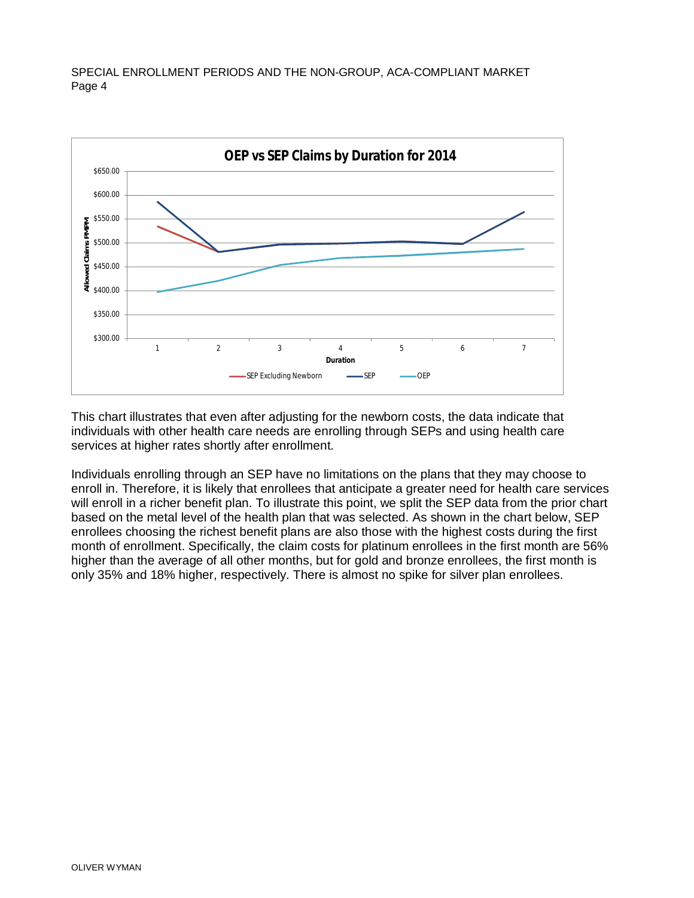

This chart illustrates that even after adjusting for the newborn costs, the data indicate that individuals with other health care needs are enrolling through SEPs and using health care services at higher rates shortly after enrollment.

Individuals enrolling through an SEP have no limitations on the plans that they may choose to enroll in. Therefore, it is likely that enrollees that anticipate a greater need for health care services will enroll in a richer benefit plan. To illustrate this point, we split the SEP data from the prior chart based on the metal level of the health plan that was selected. As shown in the chart below, SEP enrollees choosing the richest benefit plans are also those with the highest costs during the first month of enrollment. Specifically, the claim costs for platinum enrollees in the first month are 56% higher than the average of all other months, but for gold and bronze enrollees, the first month is only 35% and 18% higher, respectively. There is almost no spike for silver plan enrollees.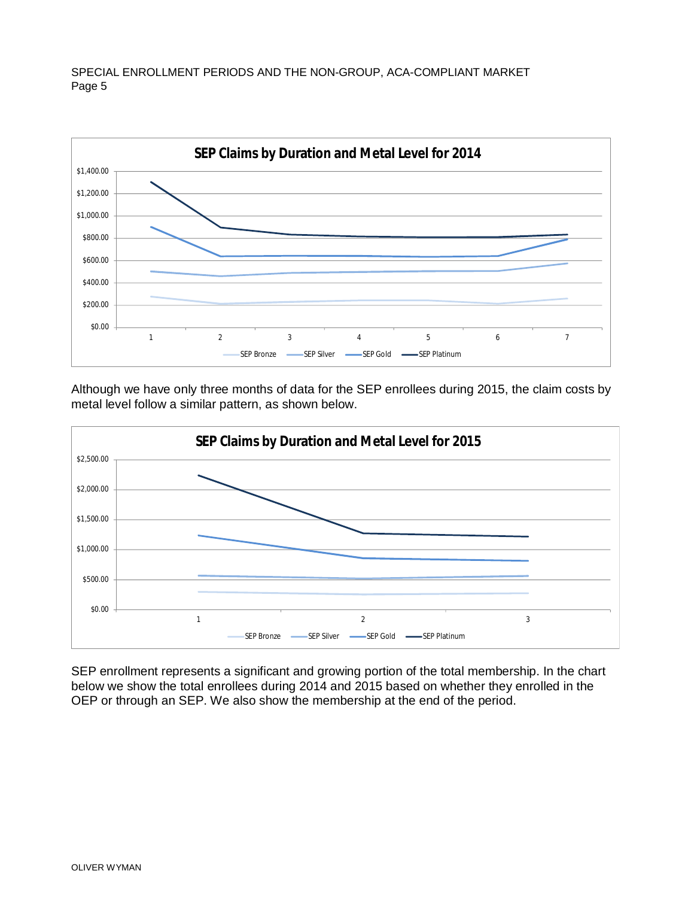

Although we have only three months of data for the SEP enrollees during 2015, the claim costs by metal level follow a similar pattern, as shown below.



SEP enrollment represents a significant and growing portion of the total membership. In the chart below we show the total enrollees during 2014 and 2015 based on whether they enrolled in the OEP or through an SEP. We also show the membership at the end of the period.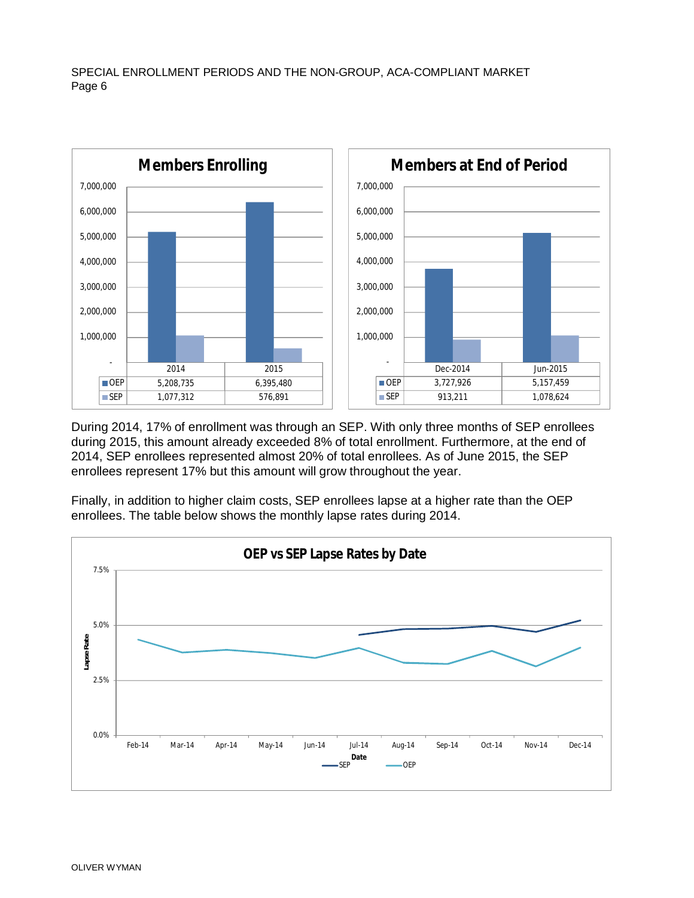

During 2014, 17% of enrollment was through an SEP. With only three months of SEP enrollees during 2015, this amount already exceeded 8% of total enrollment. Furthermore, at the end of 2014, SEP enrollees represented almost 20% of total enrollees. As of June 2015, the SEP enrollees represent 17% but this amount will grow throughout the year.

Finally, in addition to higher claim costs, SEP enrollees lapse at a higher rate than the OEP enrollees. The table below shows the monthly lapse rates during 2014.